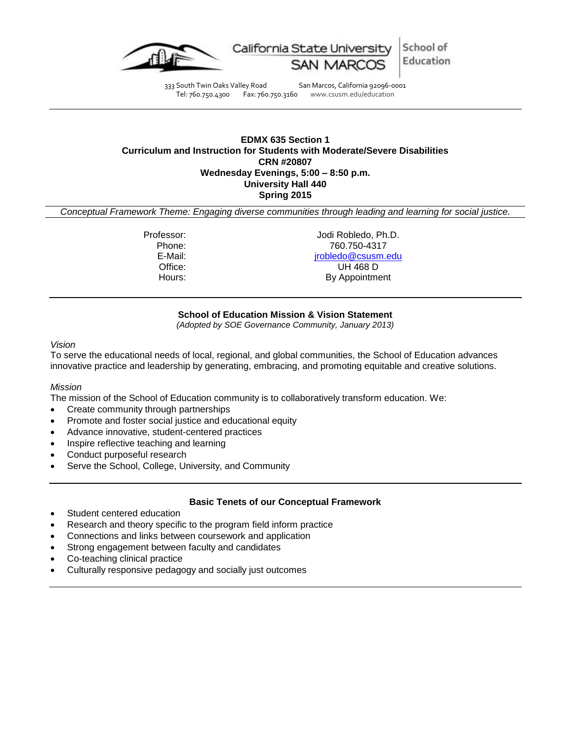

School of California State University Education

333 South Twin Oaks Valley Road San Marcos, California 92096-0001 Tel: 760.750.4300 Fax: 760.750.3160 www.csusm.edu/education

## **EDMX 635 Section 1 Curriculum and Instruction for Students with Moderate/Severe Disabilities CRN #20807 Wednesday Evenings, 5:00 – 8:50 p.m. University Hall 440 Spring 2015**

*Conceptual Framework Theme: Engaging diverse communities through leading and learning for social justice.*

Professor: Jodi Robledo, Ph.D. Phone: 760.750-4317 E-Mail: [jrobledo@csusm.edu](mailto:jrobledo@csusm.edu) UH 468 D Hours: By Appointment

## **School of Education Mission & Vision Statement**

*(Adopted by SOE Governance Community, January 2013)*

#### *Vision*

To serve the educational needs of local, regional, and global communities, the School of Education advances innovative practice and leadership by generating, embracing, and promoting equitable and creative solutions.

## *Mission*

The mission of the School of Education community is to collaboratively transform education. We:

- Create community through partnerships
- Promote and foster social justice and educational equity
- Advance innovative, student-centered practices
- Inspire reflective teaching and learning
- Conduct purposeful research
- Serve the School, College, University, and Community

## **Basic Tenets of our Conceptual Framework**

- Student centered education
- Research and theory specific to the program field inform practice
- Connections and links between coursework and application
- Strong engagement between faculty and candidates
- Co-teaching clinical practice
- Culturally responsive pedagogy and socially just outcomes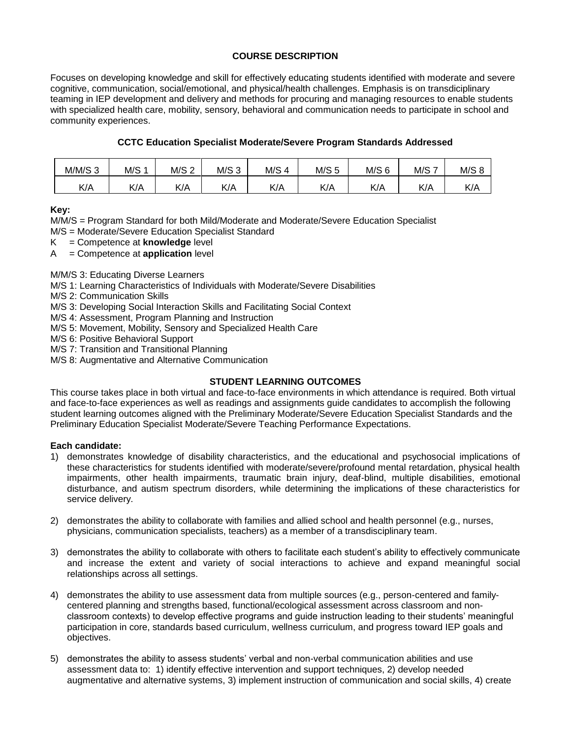# **COURSE DESCRIPTION**

Focuses on developing knowledge and skill for effectively educating students identified with moderate and severe cognitive, communication, social/emotional, and physical/health challenges. Emphasis is on transdiciplinary teaming in IEP development and delivery and methods for procuring and managing resources to enable students with specialized health care, mobility, sensory, behavioral and communication needs to participate in school and community experiences.

## **CCTC Education Specialist Moderate/Severe Program Standards Addressed**

| $M/M/S$ 3 | M/S 1 | M/S 2 | M/S <sub>3</sub> | M/S <sub>4</sub> | M/S <sub>5</sub> | $M/S$ 6 | M/S | M/S |
|-----------|-------|-------|------------------|------------------|------------------|---------|-----|-----|
| K/A       | K/A   | K/A   | K/A              | K/A              | K/A              | K/A     | K/A | K/A |

**Key:**

M/M/S = Program Standard for both Mild/Moderate and Moderate/Severe Education Specialist

- M/S = Moderate/Severe Education Specialist Standard
- K = Competence at **knowledge** level
- A = Competence at **application** level

M/M/S 3: Educating Diverse Learners

M/S 1: Learning Characteristics of Individuals with Moderate/Severe Disabilities

M/S 2: Communication Skills

M/S 3: Developing Social Interaction Skills and Facilitating Social Context

M/S 4: Assessment, Program Planning and Instruction

M/S 5: Movement, Mobility, Sensory and Specialized Health Care

M/S 6: Positive Behavioral Support

M/S 7: Transition and Transitional Planning

M/S 8: Augmentative and Alternative Communication

## **STUDENT LEARNING OUTCOMES**

This course takes place in both virtual and face-to-face environments in which attendance is required. Both virtual and face-to-face experiences as well as readings and assignments guide candidates to accomplish the following student learning outcomes aligned with the Preliminary Moderate/Severe Education Specialist Standards and the Preliminary Education Specialist Moderate/Severe Teaching Performance Expectations.

## **Each candidate:**

- 1) demonstrates knowledge of disability characteristics, and the educational and psychosocial implications of these characteristics for students identified with moderate/severe/profound mental retardation, physical health impairments, other health impairments, traumatic brain injury, deaf-blind, multiple disabilities, emotional disturbance, and autism spectrum disorders, while determining the implications of these characteristics for service delivery.
- 2) demonstrates the ability to collaborate with families and allied school and health personnel (e.g., nurses, physicians, communication specialists, teachers) as a member of a transdisciplinary team.
- 3) demonstrates the ability to collaborate with others to facilitate each student's ability to effectively communicate and increase the extent and variety of social interactions to achieve and expand meaningful social relationships across all settings.
- 4) demonstrates the ability to use assessment data from multiple sources (e.g., person-centered and familycentered planning and strengths based, functional/ecological assessment across classroom and nonclassroom contexts) to develop effective programs and guide instruction leading to their students' meaningful participation in core, standards based curriculum, wellness curriculum, and progress toward IEP goals and objectives.
- 5) demonstrates the ability to assess students' verbal and non-verbal communication abilities and use assessment data to: 1) identify effective intervention and support techniques, 2) develop needed augmentative and alternative systems, 3) implement instruction of communication and social skills, 4) create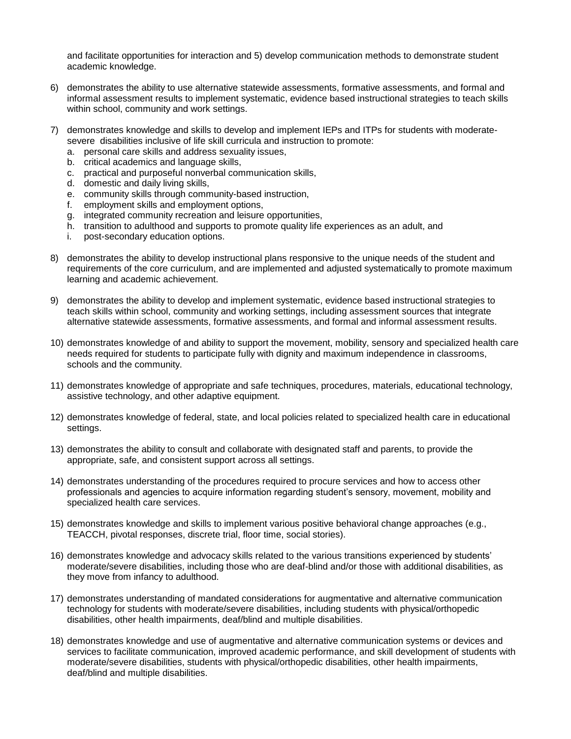and facilitate opportunities for interaction and 5) develop communication methods to demonstrate student academic knowledge.

- 6) demonstrates the ability to use alternative statewide assessments, formative assessments, and formal and informal assessment results to implement systematic, evidence based instructional strategies to teach skills within school, community and work settings.
- 7) demonstrates knowledge and skills to develop and implement IEPs and ITPs for students with moderatesevere disabilities inclusive of life skill curricula and instruction to promote:
	- a. personal care skills and address sexuality issues,
	- b. critical academics and language skills,
	- c. practical and purposeful nonverbal communication skills,
	- d. domestic and daily living skills,
	- e. community skills through community-based instruction,
	- f. employment skills and employment options,
	- g. integrated community recreation and leisure opportunities,
	- h. transition to adulthood and supports to promote quality life experiences as an adult, and
	- i. post-secondary education options.
- 8) demonstrates the ability to develop instructional plans responsive to the unique needs of the student and requirements of the core curriculum, and are implemented and adjusted systematically to promote maximum learning and academic achievement.
- 9) demonstrates the ability to develop and implement systematic, evidence based instructional strategies to teach skills within school, community and working settings, including assessment sources that integrate alternative statewide assessments, formative assessments, and formal and informal assessment results.
- 10) demonstrates knowledge of and ability to support the movement, mobility, sensory and specialized health care needs required for students to participate fully with dignity and maximum independence in classrooms, schools and the community.
- 11) demonstrates knowledge of appropriate and safe techniques, procedures, materials, educational technology, assistive technology, and other adaptive equipment.
- 12) demonstrates knowledge of federal, state, and local policies related to specialized health care in educational settings.
- 13) demonstrates the ability to consult and collaborate with designated staff and parents, to provide the appropriate, safe, and consistent support across all settings.
- 14) demonstrates understanding of the procedures required to procure services and how to access other professionals and agencies to acquire information regarding student's sensory, movement, mobility and specialized health care services.
- 15) demonstrates knowledge and skills to implement various positive behavioral change approaches (e.g., TEACCH, pivotal responses, discrete trial, floor time, social stories).
- 16) demonstrates knowledge and advocacy skills related to the various transitions experienced by students' moderate/severe disabilities, including those who are deaf-blind and/or those with additional disabilities, as they move from infancy to adulthood.
- 17) demonstrates understanding of mandated considerations for augmentative and alternative communication technology for students with moderate/severe disabilities, including students with physical/orthopedic disabilities, other health impairments, deaf/blind and multiple disabilities.
- 18) demonstrates knowledge and use of augmentative and alternative communication systems or devices and services to facilitate communication, improved academic performance, and skill development of students with moderate/severe disabilities, students with physical/orthopedic disabilities, other health impairments, deaf/blind and multiple disabilities.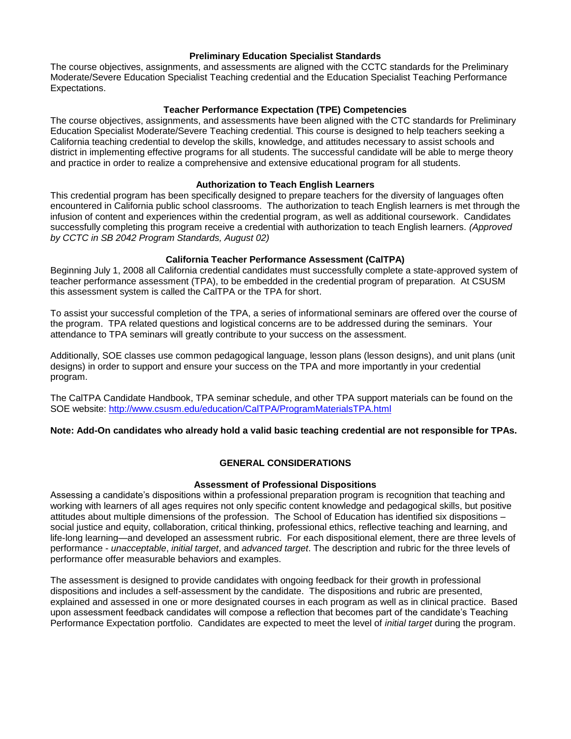## **Preliminary Education Specialist Standards**

The course objectives, assignments, and assessments are aligned with the CCTC standards for the Preliminary Moderate/Severe Education Specialist Teaching credential and the Education Specialist Teaching Performance Expectations.

## **Teacher Performance Expectation (TPE) Competencies**

The course objectives, assignments, and assessments have been aligned with the CTC standards for Preliminary Education Specialist Moderate/Severe Teaching credential. This course is designed to help teachers seeking a California teaching credential to develop the skills, knowledge, and attitudes necessary to assist schools and district in implementing effective programs for all students. The successful candidate will be able to merge theory and practice in order to realize a comprehensive and extensive educational program for all students.

## **Authorization to Teach English Learners**

This credential program has been specifically designed to prepare teachers for the diversity of languages often encountered in California public school classrooms. The authorization to teach English learners is met through the infusion of content and experiences within the credential program, as well as additional coursework. Candidates successfully completing this program receive a credential with authorization to teach English learners. *(Approved by CCTC in SB 2042 Program Standards, August 02)*

## **California Teacher Performance Assessment (CalTPA)**

Beginning July 1, 2008 all California credential candidates must successfully complete a state-approved system of teacher performance assessment (TPA), to be embedded in the credential program of preparation. At CSUSM this assessment system is called the CalTPA or the TPA for short.

To assist your successful completion of the TPA, a series of informational seminars are offered over the course of the program. TPA related questions and logistical concerns are to be addressed during the seminars. Your attendance to TPA seminars will greatly contribute to your success on the assessment.

Additionally, SOE classes use common pedagogical language, lesson plans (lesson designs), and unit plans (unit designs) in order to support and ensure your success on the TPA and more importantly in your credential program.

The CalTPA Candidate Handbook, TPA seminar schedule, and other TPA support materials can be found on the SOE website:<http://www.csusm.edu/education/CalTPA/ProgramMaterialsTPA.html>

## **Note: Add-On candidates who already hold a valid basic teaching credential are not responsible for TPAs.**

## **GENERAL CONSIDERATIONS**

## **Assessment of Professional Dispositions**

Assessing a candidate's dispositions within a professional preparation program is recognition that teaching and working with learners of all ages requires not only specific content knowledge and pedagogical skills, but positive attitudes about multiple dimensions of the profession. The School of Education has identified six dispositions – social justice and equity, collaboration, critical thinking, professional ethics, reflective teaching and learning, and life-long learning—and developed an assessment rubric. For each dispositional element, there are three levels of performance - *unacceptable*, *initial target*, and *advanced target*. The description and rubric for the three levels of performance offer measurable behaviors and examples.

The assessment is designed to provide candidates with ongoing feedback for their growth in professional dispositions and includes a self-assessment by the candidate. The dispositions and rubric are presented, explained and assessed in one or more designated courses in each program as well as in clinical practice. Based upon assessment feedback candidates will compose a reflection that becomes part of the candidate's Teaching Performance Expectation portfolio. Candidates are expected to meet the level of *initial target* during the program.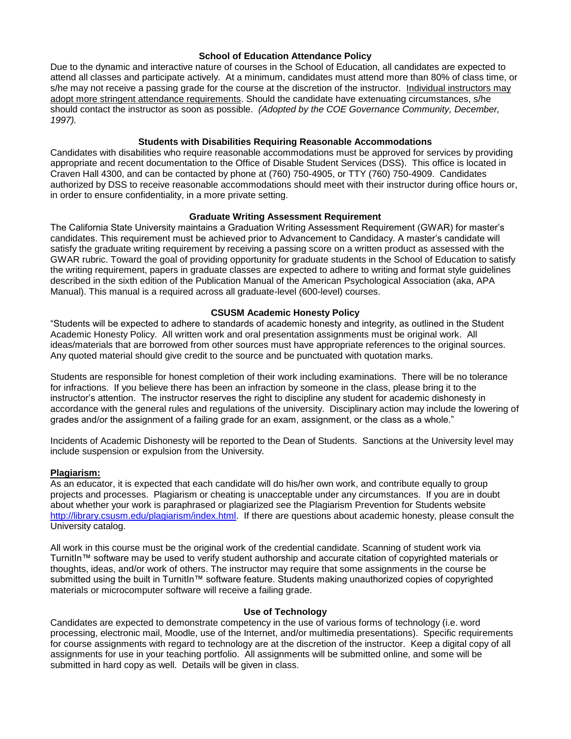## **School of Education Attendance Policy**

Due to the dynamic and interactive nature of courses in the School of Education, all candidates are expected to attend all classes and participate actively. At a minimum, candidates must attend more than 80% of class time, or s/he may not receive a passing grade for the course at the discretion of the instructor. Individual instructors may adopt more stringent attendance requirements. Should the candidate have extenuating circumstances, s/he should contact the instructor as soon as possible. *(Adopted by the COE Governance Community, December, 1997).*

## **Students with Disabilities Requiring Reasonable Accommodations**

Candidates with disabilities who require reasonable accommodations must be approved for services by providing appropriate and recent documentation to the Office of Disable Student Services (DSS). This office is located in Craven Hall 4300, and can be contacted by phone at (760) 750-4905, or TTY (760) 750-4909. Candidates authorized by DSS to receive reasonable accommodations should meet with their instructor during office hours or, in order to ensure confidentiality, in a more private setting.

## **Graduate Writing Assessment Requirement**

The California State University maintains a Graduation Writing Assessment Requirement (GWAR) for master's candidates. This requirement must be achieved prior to Advancement to Candidacy. A master's candidate will satisfy the graduate writing requirement by receiving a passing score on a written product as assessed with the GWAR rubric. Toward the goal of providing opportunity for graduate students in the School of Education to satisfy the writing requirement, papers in graduate classes are expected to adhere to writing and format style guidelines described in the sixth edition of the Publication Manual of the American Psychological Association (aka, APA Manual). This manual is a required across all graduate-level (600-level) courses.

## **CSUSM Academic Honesty Policy**

"Students will be expected to adhere to standards of academic honesty and integrity, as outlined in the Student Academic Honesty Policy. All written work and oral presentation assignments must be original work. All ideas/materials that are borrowed from other sources must have appropriate references to the original sources. Any quoted material should give credit to the source and be punctuated with quotation marks.

Students are responsible for honest completion of their work including examinations. There will be no tolerance for infractions. If you believe there has been an infraction by someone in the class, please bring it to the instructor's attention. The instructor reserves the right to discipline any student for academic dishonesty in accordance with the general rules and regulations of the university. Disciplinary action may include the lowering of grades and/or the assignment of a failing grade for an exam, assignment, or the class as a whole."

Incidents of Academic Dishonesty will be reported to the Dean of Students. Sanctions at the University level may include suspension or expulsion from the University.

## **Plagiarism:**

As an educator, it is expected that each candidate will do his/her own work, and contribute equally to group projects and processes. Plagiarism or cheating is unacceptable under any circumstances. If you are in doubt about whether your work is paraphrased or plagiarized see the Plagiarism Prevention for Students website [http://library.csusm.edu/plagiarism/index.html.](http://library.csusm.edu/plagiarism/index.html) If there are questions about academic honesty, please consult the University catalog.

All work in this course must be the original work of the credential candidate. Scanning of student work via TurnitIn™ software may be used to verify student authorship and accurate citation of copyrighted materials or thoughts, ideas, and/or work of others. The instructor may require that some assignments in the course be submitted using the built in TurnitIn™ software feature. Students making unauthorized copies of copyrighted materials or microcomputer software will receive a failing grade.

## **Use of Technology**

Candidates are expected to demonstrate competency in the use of various forms of technology (i.e. word processing, electronic mail, Moodle, use of the Internet, and/or multimedia presentations). Specific requirements for course assignments with regard to technology are at the discretion of the instructor. Keep a digital copy of all assignments for use in your teaching portfolio. All assignments will be submitted online, and some will be submitted in hard copy as well. Details will be given in class.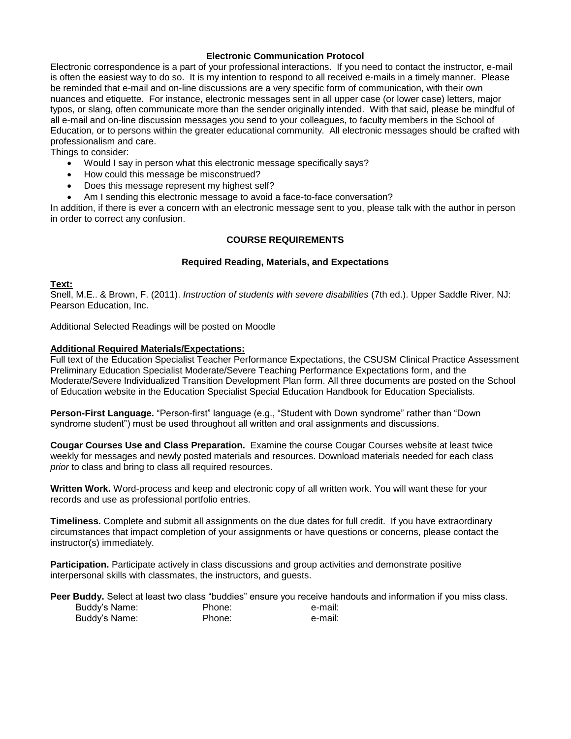## **Electronic Communication Protocol**

Electronic correspondence is a part of your professional interactions. If you need to contact the instructor, e-mail is often the easiest way to do so. It is my intention to respond to all received e-mails in a timely manner. Please be reminded that e-mail and on-line discussions are a very specific form of communication, with their own nuances and etiquette. For instance, electronic messages sent in all upper case (or lower case) letters, major typos, or slang, often communicate more than the sender originally intended. With that said, please be mindful of all e-mail and on-line discussion messages you send to your colleagues, to faculty members in the School of Education, or to persons within the greater educational community. All electronic messages should be crafted with professionalism and care.

Things to consider:

- Would I say in person what this electronic message specifically says?
- How could this message be misconstrued?
- Does this message represent my highest self?
- Am I sending this electronic message to avoid a face-to-face conversation?

In addition, if there is ever a concern with an electronic message sent to you, please talk with the author in person in order to correct any confusion.

## **COURSE REQUIREMENTS**

## **Required Reading, Materials, and Expectations**

## **Text:**

Snell, M.E.. & Brown, F. (2011). *Instruction of students with severe disabilities* (7th ed.). Upper Saddle River, NJ: Pearson Education, Inc.

Additional Selected Readings will be posted on Moodle

## **Additional Required Materials/Expectations:**

Full text of the Education Specialist Teacher Performance Expectations, the CSUSM Clinical Practice Assessment Preliminary Education Specialist Moderate/Severe Teaching Performance Expectations form, and the Moderate/Severe Individualized Transition Development Plan form. All three documents are posted on the School of Education website in the Education Specialist Special Education Handbook for Education Specialists.

**Person-First Language.** "Person-first" language (e.g., "Student with Down syndrome" rather than "Down syndrome student") must be used throughout all written and oral assignments and discussions.

**Cougar Courses Use and Class Preparation.** Examine the course Cougar Courses website at least twice weekly for messages and newly posted materials and resources. Download materials needed for each class *prior* to class and bring to class all required resources.

**Written Work.** Word-process and keep and electronic copy of all written work. You will want these for your records and use as professional portfolio entries.

**Timeliness.** Complete and submit all assignments on the due dates for full credit. If you have extraordinary circumstances that impact completion of your assignments or have questions or concerns, please contact the instructor(s) immediately.

**Participation.** Participate actively in class discussions and group activities and demonstrate positive interpersonal skills with classmates, the instructors, and guests.

**Peer Buddy.** Select at least two class "buddies" ensure you receive handouts and information if you miss class. Buddy's Name: Phone: e-mail: Buddy's Name: Phone: Phone: e-mail: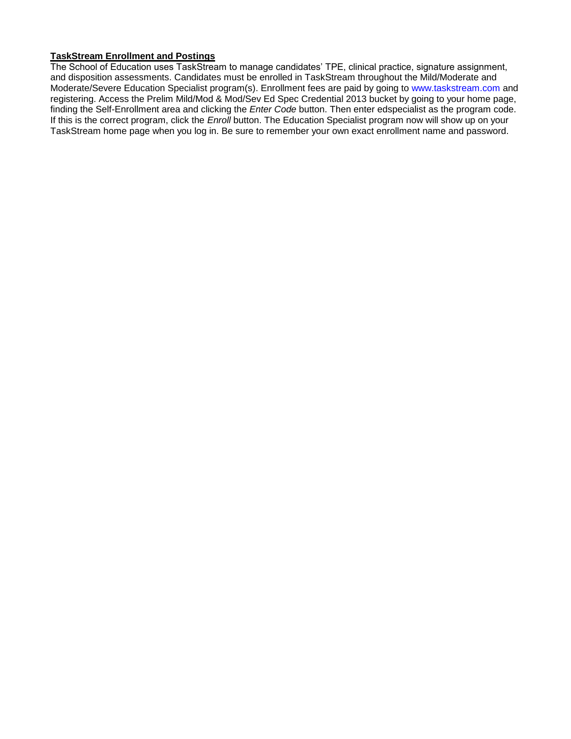## **TaskStream Enrollment and Postings**

The School of Education uses TaskStream to manage candidates' TPE, clinical practice, signature assignment, and disposition assessments. Candidates must be enrolled in TaskStream throughout the Mild/Moderate and Moderate/Severe Education Specialist program(s). Enrollment fees are paid by going to [www.taskstream.com](http://www.taskstrem.com/) and registering. Access the Prelim Mild/Mod & Mod/Sev Ed Spec Credential 2013 bucket by going to your home page, finding the Self-Enrollment area and clicking the *Enter Code* button. Then enter edspecialist as the program code. If this is the correct program, click the *Enroll* button. The Education Specialist program now will show up on your TaskStream home page when you log in. Be sure to remember your own exact enrollment name and password.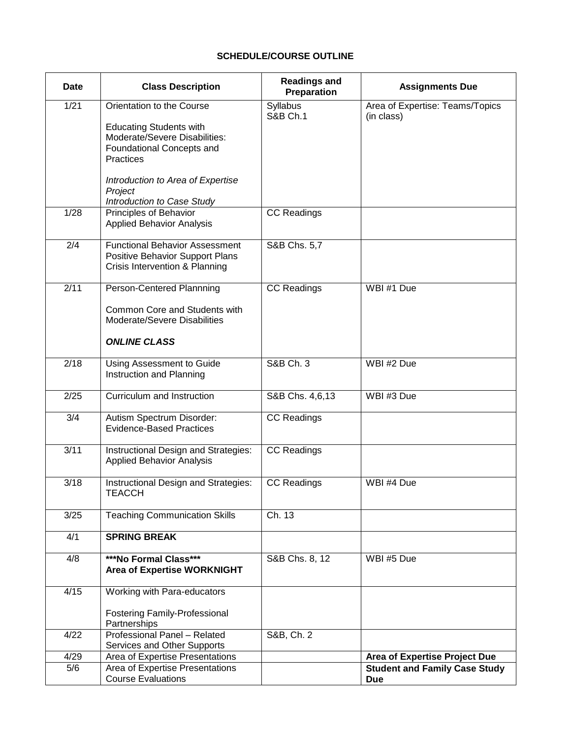# **SCHEDULE/COURSE OUTLINE**

| <b>Date</b> | <b>Class Description</b>                                                                                                                                                    | <b>Readings and</b><br>Preparation | <b>Assignments Due</b>                             |  |
|-------------|-----------------------------------------------------------------------------------------------------------------------------------------------------------------------------|------------------------------------|----------------------------------------------------|--|
| 1/21        | Orientation to the Course<br><b>Educating Students with</b><br>Moderate/Severe Disabilities:<br>Foundational Concepts and<br>Practices<br>Introduction to Area of Expertise | Syllabus<br><b>S&amp;B Ch.1</b>    | Area of Expertise: Teams/Topics<br>(in class)      |  |
|             | Project<br>Introduction to Case Study                                                                                                                                       |                                    |                                                    |  |
| 1/28        | Principles of Behavior<br><b>Applied Behavior Analysis</b>                                                                                                                  | <b>CC Readings</b>                 |                                                    |  |
| 2/4         | <b>Functional Behavior Assessment</b><br>Positive Behavior Support Plans<br>Crisis Intervention & Planning                                                                  | S&B Chs. 5,7                       |                                                    |  |
| 2/11        | Person-Centered Plannning<br>Common Core and Students with<br>Moderate/Severe Disabilities<br><b>ONLINE CLASS</b>                                                           | <b>CC Readings</b>                 | WBI #1 Due                                         |  |
| 2/18        | Using Assessment to Guide<br>Instruction and Planning                                                                                                                       | S&B Ch. 3                          | WBI #2 Due                                         |  |
| 2/25        | Curriculum and Instruction                                                                                                                                                  | S&B Chs. 4,6,13                    | WBI #3 Due                                         |  |
| 3/4         | Autism Spectrum Disorder:<br><b>Evidence-Based Practices</b>                                                                                                                | <b>CC Readings</b>                 |                                                    |  |
| 3/11        | Instructional Design and Strategies:<br><b>Applied Behavior Analysis</b>                                                                                                    | <b>CC Readings</b>                 |                                                    |  |
| 3/18        | Instructional Design and Strategies:<br><b>TEACCH</b>                                                                                                                       | <b>CC Readings</b>                 | WBI #4 Due                                         |  |
| 3/25        | <b>Teaching Communication Skills</b>                                                                                                                                        | Ch. 13                             |                                                    |  |
| 4/1         | <b>SPRING BREAK</b>                                                                                                                                                         |                                    |                                                    |  |
| 4/8         | ***No Formal Class***<br>Area of Expertise WORKNIGHT                                                                                                                        | S&B Chs. 8, 12                     | WBI #5 Due                                         |  |
| 4/15        | Working with Para-educators<br><b>Fostering Family-Professional</b><br>Partnerships                                                                                         |                                    |                                                    |  |
| 4/22        | Professional Panel - Related<br><b>Services and Other Supports</b>                                                                                                          | S&B, Ch. 2                         |                                                    |  |
| 4/29        | Area of Expertise Presentations                                                                                                                                             |                                    | Area of Expertise Project Due                      |  |
| 5/6         | Area of Expertise Presentations<br><b>Course Evaluations</b>                                                                                                                |                                    | <b>Student and Family Case Study</b><br><b>Due</b> |  |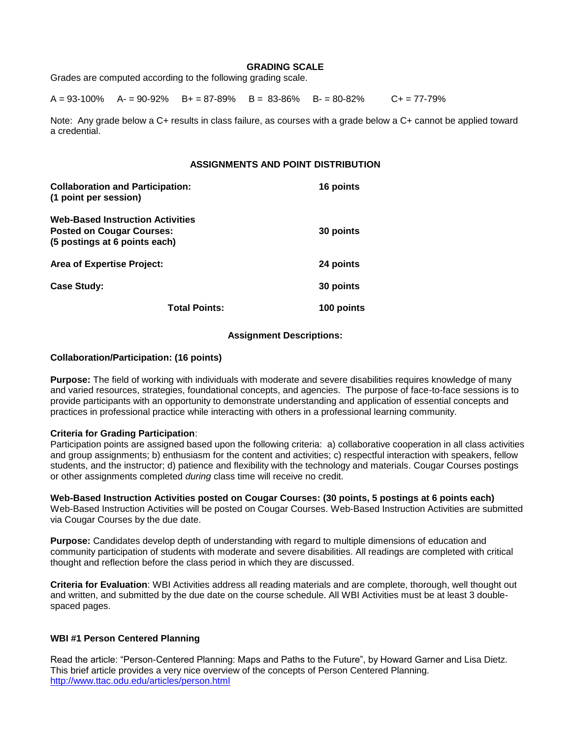#### **GRADING SCALE**

Grades are computed according to the following grading scale.

 $A = 93-100\%$   $A = 90-92\%$   $B = 87-89\%$   $B = 83-86\%$   $B = 80-82\%$   $C = 77-79\%$ 

Note: Any grade below a C+ results in class failure, as courses with a grade below a C+ cannot be applied toward a credential.

## **ASSIGNMENTS AND POINT DISTRIBUTION**

| <b>Collaboration and Participation:</b><br>(1 point per session)                                             | 16 points  |
|--------------------------------------------------------------------------------------------------------------|------------|
| <b>Web-Based Instruction Activities</b><br><b>Posted on Cougar Courses:</b><br>(5 postings at 6 points each) | 30 points  |
| <b>Area of Expertise Project:</b>                                                                            | 24 points  |
| <b>Case Study:</b>                                                                                           | 30 points  |
| <b>Total Points:</b>                                                                                         | 100 points |

#### **Assignment Descriptions:**

#### **Collaboration/Participation: (16 points)**

**Purpose:** The field of working with individuals with moderate and severe disabilities requires knowledge of many and varied resources, strategies, foundational concepts, and agencies. The purpose of face-to-face sessions is to provide participants with an opportunity to demonstrate understanding and application of essential concepts and practices in professional practice while interacting with others in a professional learning community.

#### **Criteria for Grading Participation**:

Participation points are assigned based upon the following criteria: a) collaborative cooperation in all class activities and group assignments; b) enthusiasm for the content and activities; c) respectful interaction with speakers, fellow students, and the instructor; d) patience and flexibility with the technology and materials. Cougar Courses postings or other assignments completed *during* class time will receive no credit.

**Web-Based Instruction Activities posted on Cougar Courses: (30 points, 5 postings at 6 points each)** Web-Based Instruction Activities will be posted on Cougar Courses. Web-Based Instruction Activities are submitted via Cougar Courses by the due date.

**Purpose:** Candidates develop depth of understanding with regard to multiple dimensions of education and community participation of students with moderate and severe disabilities. All readings are completed with critical thought and reflection before the class period in which they are discussed.

**Criteria for Evaluation**: WBI Activities address all reading materials and are complete, thorough, well thought out and written, and submitted by the due date on the course schedule. All WBI Activities must be at least 3 doublespaced pages.

## **WBI #1 Person Centered Planning**

Read the article: "Person-Centered Planning: Maps and Paths to the Future", by Howard Garner and Lisa Dietz. This brief article provides a very nice overview of the concepts of Person Centered Planning. <http://www.ttac.odu.edu/articles/person.html>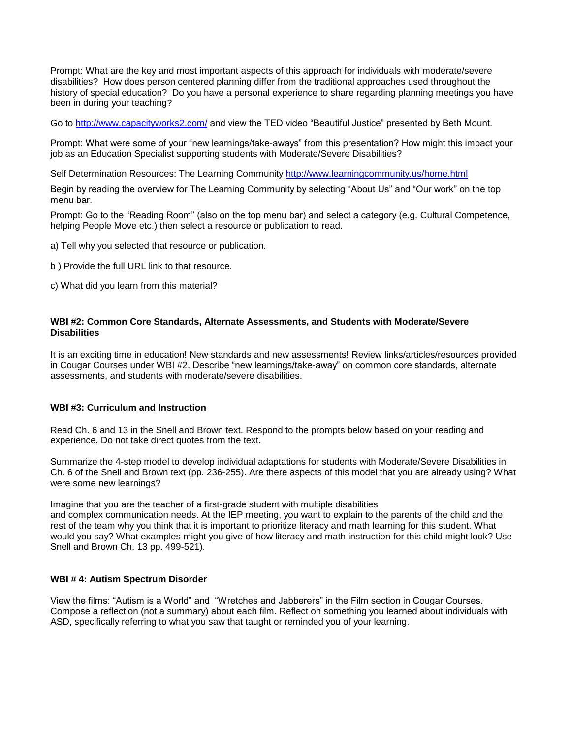Prompt: What are the key and most important aspects of this approach for individuals with moderate/severe disabilities? How does person centered planning differ from the traditional approaches used throughout the history of special education? Do you have a personal experience to share regarding planning meetings you have been in during your teaching?

Go to<http://www.capacityworks2.com/> and view the TED video "Beautiful Justice" presented by Beth Mount.

Prompt: What were some of your "new learnings/take-aways" from this presentation? How might this impact your job as an Education Specialist supporting students with Moderate/Severe Disabilities?

Self Determination Resources: The Learning Communit[y http://www.learningcommunity.us/home.html](http://www.learningcommunity.us/home.html) 

Begin by reading the overview for The Learning Community by selecting "About Us" and "Our work" on the top menu bar.

Prompt: Go to the "Reading Room" (also on the top menu bar) and select a category (e.g. Cultural Competence, helping People Move etc.) then select a resource or publication to read.

a) Tell why you selected that resource or publication.

b ) Provide the full URL link to that resource.

c) What did you learn from this material?

## **WBI #2: Common Core Standards, Alternate Assessments, and Students with Moderate/Severe Disabilities**

It is an exciting time in education! New standards and new assessments! Review links/articles/resources provided in Cougar Courses under WBI #2. Describe "new learnings/take-away" on common core standards, alternate assessments, and students with moderate/severe disabilities.

## **WBI #3: Curriculum and Instruction**

Read Ch. 6 and 13 in the Snell and Brown text. Respond to the prompts below based on your reading and experience. Do not take direct quotes from the text.

Summarize the 4-step model to develop individual adaptations for students with Moderate/Severe Disabilities in Ch. 6 of the Snell and Brown text (pp. 236-255). Are there aspects of this model that you are already using? What were some new learnings?

Imagine that you are the teacher of a first-grade student with multiple disabilities and complex communication needs. At the IEP meeting, you want to explain to the parents of the child and the rest of the team why you think that it is important to prioritize literacy and math learning for this student. What would you say? What examples might you give of how literacy and math instruction for this child might look? Use Snell and Brown Ch. 13 pp. 499-521).

## **WBI # 4: Autism Spectrum Disorder**

View the films: "Autism is a World" and "Wretches and Jabberers" in the Film section in Cougar Courses. Compose a reflection (not a summary) about each film. Reflect on something you learned about individuals with ASD, specifically referring to what you saw that taught or reminded you of your learning.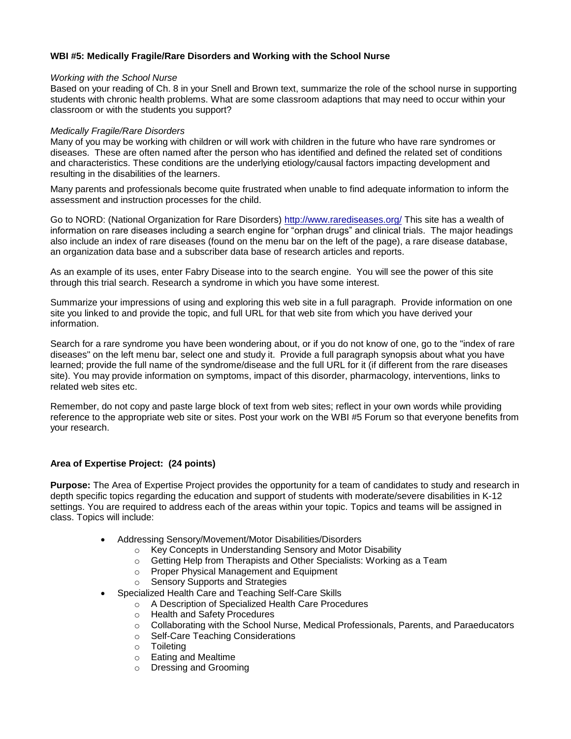## **WBI #5: Medically Fragile/Rare Disorders and Working with the School Nurse**

#### *Working with the School Nurse*

Based on your reading of Ch. 8 in your Snell and Brown text, summarize the role of the school nurse in supporting students with chronic health problems. What are some classroom adaptions that may need to occur within your classroom or with the students you support?

#### *Medically Fragile/Rare Disorders*

Many of you may be working with children or will work with children in the future who have rare syndromes or diseases. These are often named after the person who has identified and defined the related set of conditions and characteristics. These conditions are the underlying etiology/causal factors impacting development and resulting in the disabilities of the learners.

Many parents and professionals become quite frustrated when unable to find adequate information to inform the assessment and instruction processes for the child.

Go to NORD: (National Organization for Rare Disorders)<http://www.rarediseases.org/> This site has a wealth of information on rare diseases including a search engine for "orphan drugs" and clinical trials. The major headings also include an index of rare diseases (found on the menu bar on the left of the page), a rare disease database, an organization data base and a subscriber data base of research articles and reports.

As an example of its uses, enter Fabry Disease into to the search engine. You will see the power of this site through this trial search. Research a syndrome in which you have some interest.

Summarize your impressions of using and exploring this web site in a full paragraph. Provide information on one site you linked to and provide the topic, and full URL for that web site from which you have derived your information.

Search for a rare syndrome you have been wondering about, or if you do not know of one, go to the "index of rare diseases" on the left menu bar, select one and study it. Provide a full paragraph synopsis about what you have learned; provide the full name of the syndrome/disease and the full URL for it (if different from the rare diseases site). You may provide information on symptoms, impact of this disorder, pharmacology, interventions, links to related web sites etc.

Remember, do not copy and paste large block of text from web sites; reflect in your own words while providing reference to the appropriate web site or sites. Post your work on the WBI #5 Forum so that everyone benefits from your research.

## **Area of Expertise Project: (24 points)**

**Purpose:** The Area of Expertise Project provides the opportunity for a team of candidates to study and research in depth specific topics regarding the education and support of students with moderate/severe disabilities in K-12 settings. You are required to address each of the areas within your topic. Topics and teams will be assigned in class. Topics will include:

- Addressing Sensory/Movement/Motor Disabilities/Disorders
	- o Key Concepts in Understanding Sensory and Motor Disability
	- o Getting Help from Therapists and Other Specialists: Working as a Team
	- o Proper Physical Management and Equipment
	- o Sensory Supports and Strategies
- Specialized Health Care and Teaching Self-Care Skills
	- o A Description of Specialized Health Care Procedures
	- o Health and Safety Procedures
	- o Collaborating with the School Nurse, Medical Professionals, Parents, and Paraeducators
	- o Self-Care Teaching Considerations
	- o Toileting
	- o Eating and Mealtime
	- o Dressing and Grooming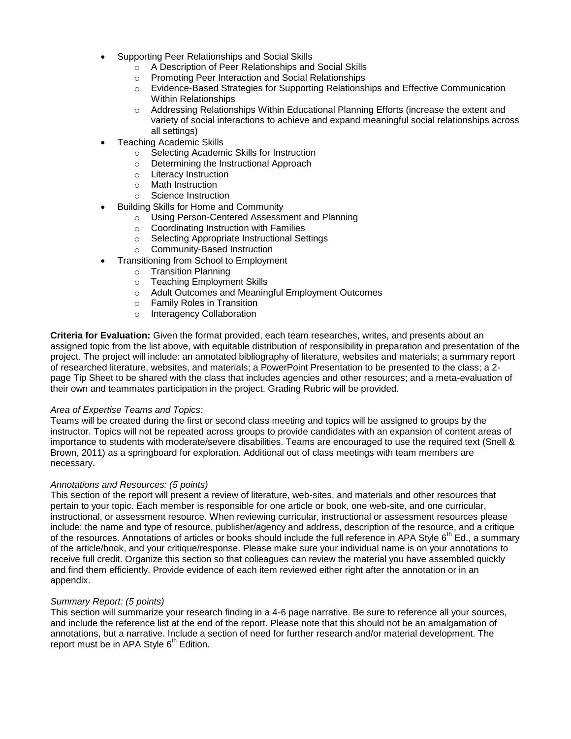- Supporting Peer Relationships and Social Skills
	- o A Description of Peer Relationships and Social Skills
	- o Promoting Peer Interaction and Social Relationships
	- o Evidence-Based Strategies for Supporting Relationships and Effective Communication Within Relationships
	- o Addressing Relationships Within Educational Planning Efforts (increase the extent and variety of social interactions to achieve and expand meaningful social relationships across all settings)
- Teaching Academic Skills
	- o Selecting Academic Skills for Instruction
	- o Determining the Instructional Approach
	- o Literacy Instruction
	- o Math Instruction
	- o Science Instruction
- Building Skills for Home and Community
	- o Using Person-Centered Assessment and Planning
	- o Coordinating Instruction with Families
	- o Selecting Appropriate Instructional Settings
	- o Community-Based Instruction
	- Transitioning from School to Employment
		- o Transition Planning
		- o Teaching Employment Skills
		- o Adult Outcomes and Meaningful Employment Outcomes
		- o Family Roles in Transition
		- o Interagency Collaboration

**Criteria for Evaluation:** Given the format provided, each team researches, writes, and presents about an assigned topic from the list above, with equitable distribution of responsibility in preparation and presentation of the project. The project will include: an annotated bibliography of literature, websites and materials; a summary report of researched literature, websites, and materials; a PowerPoint Presentation to be presented to the class; a 2 page Tip Sheet to be shared with the class that includes agencies and other resources; and a meta-evaluation of their own and teammates participation in the project. Grading Rubric will be provided.

## *Area of Expertise Teams and Topics:*

Teams will be created during the first or second class meeting and topics will be assigned to groups by the instructor. Topics will not be repeated across groups to provide candidates with an expansion of content areas of importance to students with moderate/severe disabilities. Teams are encouraged to use the required text (Snell & Brown, 2011) as a springboard for exploration. Additional out of class meetings with team members are necessary.

## *Annotations and Resources: (5 points)*

This section of the report will present a review of literature, web-sites, and materials and other resources that pertain to your topic. Each member is responsible for one article or book, one web-site, and one curricular, instructional, or assessment resource. When reviewing curricular, instructional or assessment resources please include: the name and type of resource, publisher/agency and address, description of the resource, and a critique of the resources. Annotations of articles or books should include the full reference in APA Style  $6<sup>th</sup>$  Ed., a summary of the article/book, and your critique/response. Please make sure your individual name is on your annotations to receive full credit. Organize this section so that colleagues can review the material you have assembled quickly and find them efficiently. Provide evidence of each item reviewed either right after the annotation or in an appendix.

## *Summary Report: (5 points)*

This section will summarize your research finding in a 4-6 page narrative. Be sure to reference all your sources, and include the reference list at the end of the report. Please note that this should not be an amalgamation of annotations, but a narrative. Include a section of need for further research and/or material development. The report must be in APA Style  $6<sup>th</sup>$  Edition.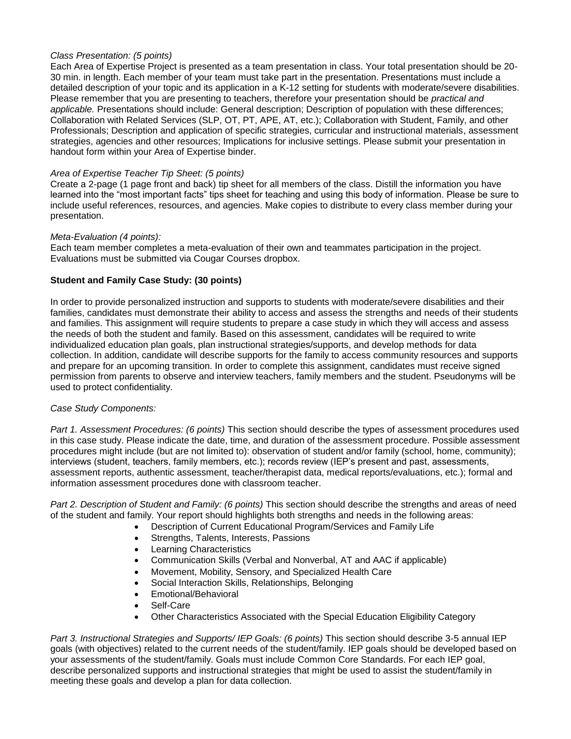## *Class Presentation: (5 points)*

Each Area of Expertise Project is presented as a team presentation in class. Your total presentation should be 20- 30 min. in length. Each member of your team must take part in the presentation. Presentations must include a detailed description of your topic and its application in a K-12 setting for students with moderate/severe disabilities. Please remember that you are presenting to teachers, therefore your presentation should be *practical and applicable.* Presentations should include: General description; Description of population with these differences; Collaboration with Related Services (SLP, OT, PT, APE, AT, etc.); Collaboration with Student, Family, and other Professionals; Description and application of specific strategies, curricular and instructional materials, assessment strategies, agencies and other resources; Implications for inclusive settings. Please submit your presentation in handout form within your Area of Expertise binder.

## *Area of Expertise Teacher Tip Sheet: (5 points)*

Create a 2-page (1 page front and back) tip sheet for all members of the class. Distill the information you have learned into the "most important facts" tips sheet for teaching and using this body of information. Please be sure to include useful references, resources, and agencies. Make copies to distribute to every class member during your presentation.

## *Meta-Evaluation (4 points):*

Each team member completes a meta-evaluation of their own and teammates participation in the project. Evaluations must be submitted via Cougar Courses dropbox.

## **Student and Family Case Study: (30 points)**

In order to provide personalized instruction and supports to students with moderate/severe disabilities and their families, candidates must demonstrate their ability to access and assess the strengths and needs of their students and families. This assignment will require students to prepare a case study in which they will access and assess the needs of both the student and family. Based on this assessment, candidates will be required to write individualized education plan goals, plan instructional strategies/supports, and develop methods for data collection. In addition, candidate will describe supports for the family to access community resources and supports and prepare for an upcoming transition. In order to complete this assignment, candidates must receive signed permission from parents to observe and interview teachers, family members and the student. Pseudonyms will be used to protect confidentiality.

## *Case Study Components:*

*Part 1. Assessment Procedures: (6 points)* This section should describe the types of assessment procedures used in this case study. Please indicate the date, time, and duration of the assessment procedure. Possible assessment procedures might include (but are not limited to): observation of student and/or family (school, home, community); interviews (student, teachers, family members, etc.); records review (IEP's present and past, assessments, assessment reports, authentic assessment, teacher/therapist data, medical reports/evaluations, etc.); formal and information assessment procedures done with classroom teacher.

*Part 2. Description of Student and Family: (6 points)* This section should describe the strengths and areas of need of the student and family. Your report should highlights both strengths and needs in the following areas:

- Description of Current Educational Program/Services and Family Life
- Strengths, Talents, Interests, Passions
- Learning Characteristics
- Communication Skills (Verbal and Nonverbal, AT and AAC if applicable)
- Movement, Mobility, Sensory, and Specialized Health Care
- Social Interaction Skills, Relationships, Belonging
- Emotional/Behavioral
- Self-Care
- Other Characteristics Associated with the Special Education Eligibility Category

*Part 3. Instructional Strategies and Supports/ IEP Goals: (6 points)* This section should describe 3-5 annual IEP goals (with objectives) related to the current needs of the student/family. IEP goals should be developed based on your assessments of the student/family. Goals must include Common Core Standards. For each IEP goal, describe personalized supports and instructional strategies that might be used to assist the student/family in meeting these goals and develop a plan for data collection.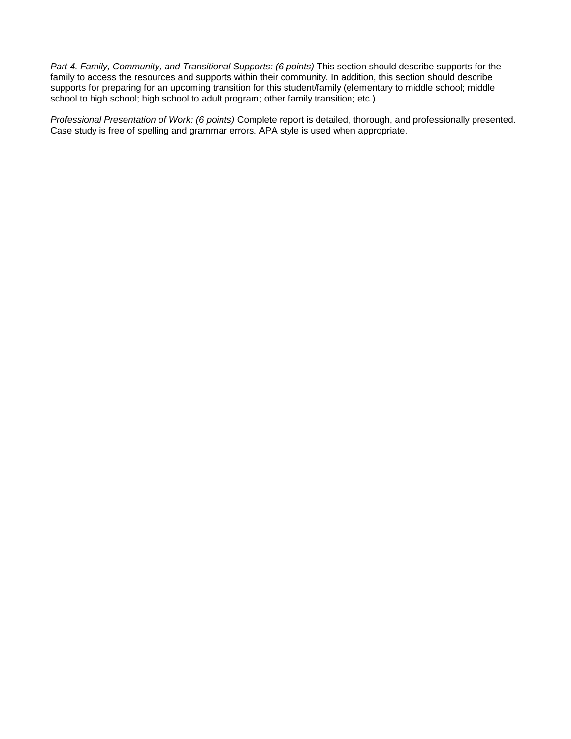*Part 4. Family, Community, and Transitional Supports: (6 points)* This section should describe supports for the family to access the resources and supports within their community. In addition, this section should describe supports for preparing for an upcoming transition for this student/family (elementary to middle school; middle school to high school; high school to adult program; other family transition; etc.).

*Professional Presentation of Work: (6 points)* Complete report is detailed, thorough, and professionally presented. Case study is free of spelling and grammar errors. APA style is used when appropriate.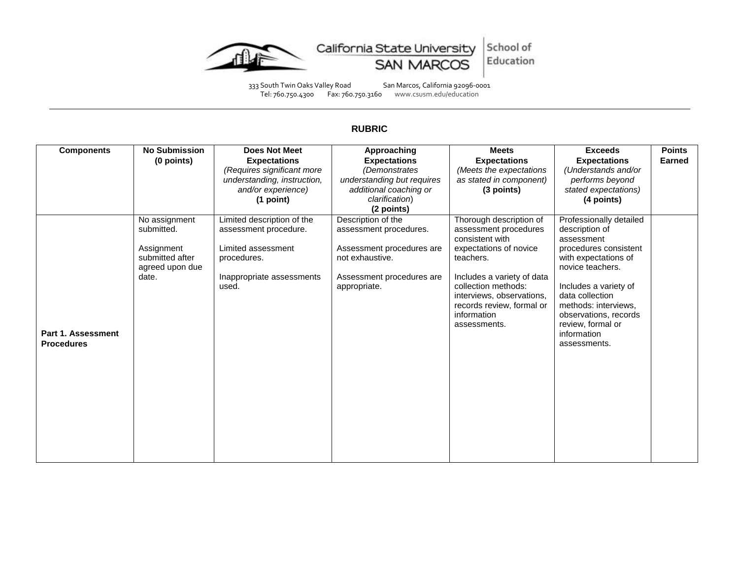



333 South Twin Oaks Valley Road San Marcos, California 92096-0001 Tel: 760.750.4300 Fax: 760.750.3160 www.csusm.edu/education

# **RUBRIC**

| <b>Components</b>  | <b>No Submission</b> | <b>Does Not Meet</b>        | Approaching                | <b>Meets</b>                             | <b>Exceeds</b>               | <b>Points</b> |
|--------------------|----------------------|-----------------------------|----------------------------|------------------------------------------|------------------------------|---------------|
|                    | (0 points)           | <b>Expectations</b>         | <b>Expectations</b>        | <b>Expectations</b>                      | <b>Expectations</b>          | <b>Earned</b> |
|                    |                      | (Requires significant more  | (Demonstrates              | (Meets the expectations                  | (Understands and/or          |               |
|                    |                      | understanding, instruction, | understanding but requires | as stated in component)                  | performs beyond              |               |
|                    |                      | and/or experience)          | additional coaching or     | (3 points)                               | stated expectations)         |               |
|                    |                      | (1 point)                   | clarification)             |                                          | (4 points)                   |               |
|                    |                      |                             | (2 points)                 |                                          |                              |               |
|                    | No assignment        | Limited description of the  | Description of the         | Thorough description of                  | Professionally detailed      |               |
|                    | submitted.           | assessment procedure.       | assessment procedures.     | assessment procedures<br>consistent with | description of<br>assessment |               |
|                    | Assignment           | Limited assessment          | Assessment procedures are  | expectations of novice                   | procedures consistent        |               |
|                    | submitted after      | procedures.                 | not exhaustive.            | teachers.                                | with expectations of         |               |
|                    | agreed upon due      |                             |                            |                                          | novice teachers.             |               |
|                    | date.                | Inappropriate assessments   | Assessment procedures are  | Includes a variety of data               |                              |               |
|                    |                      | used.                       | appropriate.               | collection methods:                      | Includes a variety of        |               |
|                    |                      |                             |                            | interviews, observations,                | data collection              |               |
|                    |                      |                             |                            | records review, formal or                | methods: interviews,         |               |
|                    |                      |                             |                            | information                              | observations, records        |               |
|                    |                      |                             |                            | assessments.                             | review, formal or            |               |
| Part 1. Assessment |                      |                             |                            |                                          | information                  |               |
| <b>Procedures</b>  |                      |                             |                            |                                          | assessments.                 |               |
|                    |                      |                             |                            |                                          |                              |               |
|                    |                      |                             |                            |                                          |                              |               |
|                    |                      |                             |                            |                                          |                              |               |
|                    |                      |                             |                            |                                          |                              |               |
|                    |                      |                             |                            |                                          |                              |               |
|                    |                      |                             |                            |                                          |                              |               |
|                    |                      |                             |                            |                                          |                              |               |
|                    |                      |                             |                            |                                          |                              |               |
|                    |                      |                             |                            |                                          |                              |               |
|                    |                      |                             |                            |                                          |                              |               |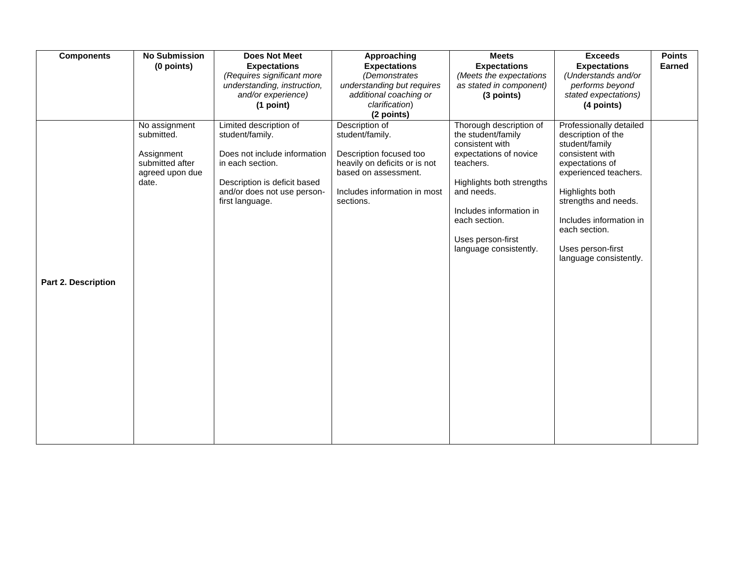| <b>Components</b>   | <b>No Submission</b> | <b>Does Not Meet</b>         | Approaching                   | <b>Meets</b>              | <b>Exceeds</b>                              | <b>Points</b> |
|---------------------|----------------------|------------------------------|-------------------------------|---------------------------|---------------------------------------------|---------------|
|                     | (0 points)           | <b>Expectations</b>          | <b>Expectations</b>           | <b>Expectations</b>       | <b>Expectations</b>                         | <b>Earned</b> |
|                     |                      | (Requires significant more   | (Demonstrates                 | (Meets the expectations   | (Understands and/or                         |               |
|                     |                      | understanding, instruction,  | understanding but requires    | as stated in component)   | performs beyond                             |               |
|                     |                      | and/or experience)           | additional coaching or        | (3 points)                | stated expectations)                        |               |
|                     |                      | (1 point)                    | clarification)                |                           | (4 points)                                  |               |
|                     |                      |                              | (2 points)                    |                           |                                             |               |
|                     | No assignment        | Limited description of       | Description of                | Thorough description of   | Professionally detailed                     |               |
|                     | submitted.           | student/family.              | student/family.               | the student/family        | description of the                          |               |
|                     |                      |                              |                               | consistent with           | student/family                              |               |
|                     | Assignment           | Does not include information | Description focused too       | expectations of novice    | consistent with                             |               |
|                     | submitted after      | in each section.             | heavily on deficits or is not | teachers.                 | expectations of                             |               |
|                     | agreed upon due      |                              | based on assessment.          |                           | experienced teachers.                       |               |
|                     | date.                | Description is deficit based |                               | Highlights both strengths |                                             |               |
|                     |                      | and/or does not use person-  | Includes information in most  | and needs.                | Highlights both                             |               |
|                     |                      | first language.              | sections.                     |                           | strengths and needs.                        |               |
|                     |                      |                              |                               | Includes information in   |                                             |               |
|                     |                      |                              |                               | each section.             | Includes information in                     |               |
|                     |                      |                              |                               |                           | each section.                               |               |
|                     |                      |                              |                               | Uses person-first         |                                             |               |
|                     |                      |                              |                               | language consistently.    | Uses person-first<br>language consistently. |               |
|                     |                      |                              |                               |                           |                                             |               |
|                     |                      |                              |                               |                           |                                             |               |
| Part 2. Description |                      |                              |                               |                           |                                             |               |
|                     |                      |                              |                               |                           |                                             |               |
|                     |                      |                              |                               |                           |                                             |               |
|                     |                      |                              |                               |                           |                                             |               |
|                     |                      |                              |                               |                           |                                             |               |
|                     |                      |                              |                               |                           |                                             |               |
|                     |                      |                              |                               |                           |                                             |               |
|                     |                      |                              |                               |                           |                                             |               |
|                     |                      |                              |                               |                           |                                             |               |
|                     |                      |                              |                               |                           |                                             |               |
|                     |                      |                              |                               |                           |                                             |               |
|                     |                      |                              |                               |                           |                                             |               |
|                     |                      |                              |                               |                           |                                             |               |
|                     |                      |                              |                               |                           |                                             |               |
|                     |                      |                              |                               |                           |                                             |               |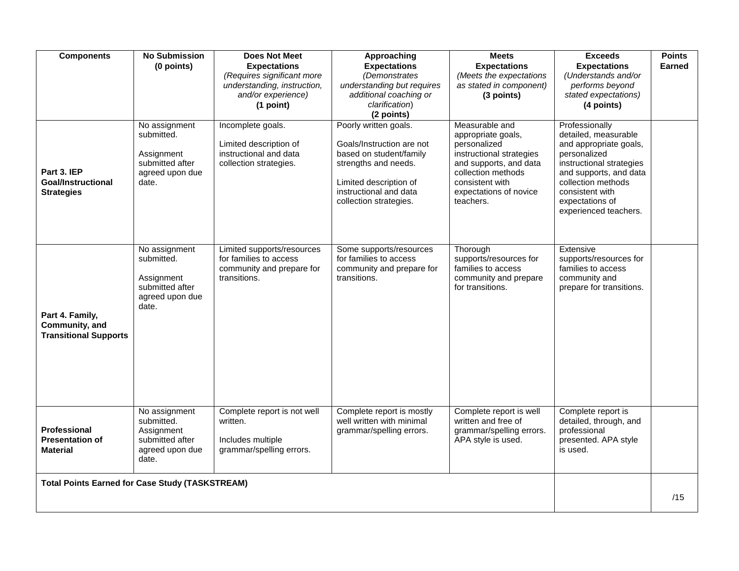| <b>Components</b><br>Part 3. IEP<br><b>Goal/Instructional</b><br><b>Strategies</b> | <b>No Submission</b><br>(0 points)<br>No assignment<br>submitted.<br>Assignment<br>submitted after<br>agreed upon due<br>date. | <b>Does Not Meet</b><br><b>Expectations</b><br>(Requires significant more<br>understanding, instruction,<br>and/or experience)<br>(1 point)<br>Incomplete goals.<br>Limited description of<br>instructional and data<br>collection strategies. | Approaching<br><b>Expectations</b><br>(Demonstrates<br>understanding but requires<br>additional coaching or<br>clarification)<br>(2 points)<br>Poorly written goals.<br>Goals/Instruction are not<br>based on student/family<br>strengths and needs.<br>Limited description of<br>instructional and data | <b>Meets</b><br><b>Expectations</b><br>(Meets the expectations<br>as stated in component)<br>(3 points)<br>Measurable and<br>appropriate goals,<br>personalized<br>instructional strategies<br>and supports, and data<br>collection methods<br>consistent with<br>expectations of novice | <b>Exceeds</b><br><b>Expectations</b><br>(Understands and/or<br>performs beyond<br>stated expectations)<br>(4 points)<br>Professionally<br>detailed, measurable<br>and appropriate goals,<br>personalized<br>instructional strategies<br>and supports, and data<br>collection methods<br>consistent with | <b>Points</b><br><b>Earned</b> |
|------------------------------------------------------------------------------------|--------------------------------------------------------------------------------------------------------------------------------|------------------------------------------------------------------------------------------------------------------------------------------------------------------------------------------------------------------------------------------------|----------------------------------------------------------------------------------------------------------------------------------------------------------------------------------------------------------------------------------------------------------------------------------------------------------|------------------------------------------------------------------------------------------------------------------------------------------------------------------------------------------------------------------------------------------------------------------------------------------|----------------------------------------------------------------------------------------------------------------------------------------------------------------------------------------------------------------------------------------------------------------------------------------------------------|--------------------------------|
| Part 4. Family,<br>Community, and<br><b>Transitional Supports</b>                  | No assignment<br>submitted.<br>Assignment<br>submitted after<br>agreed upon due<br>date.                                       | Limited supports/resources<br>for families to access<br>community and prepare for<br>transitions.                                                                                                                                              | collection strategies.<br>Some supports/resources<br>for families to access<br>community and prepare for<br>transitions.                                                                                                                                                                                 | teachers.<br>Thorough<br>supports/resources for<br>families to access<br>community and prepare<br>for transitions.                                                                                                                                                                       | expectations of<br>experienced teachers.<br>Extensive<br>supports/resources for<br>families to access<br>community and<br>prepare for transitions.                                                                                                                                                       |                                |
| Professional<br><b>Presentation of</b><br><b>Material</b>                          | No assignment<br>submitted.<br>Assignment<br>submitted after<br>agreed upon due<br>date.                                       | Complete report is not well<br>written.<br>Includes multiple<br>grammar/spelling errors.                                                                                                                                                       | Complete report is mostly<br>well written with minimal<br>grammar/spelling errors.                                                                                                                                                                                                                       | Complete report is well<br>written and free of<br>grammar/spelling errors.<br>APA style is used.                                                                                                                                                                                         | Complete report is<br>detailed, through, and<br>professional<br>presented. APA style<br>is used.                                                                                                                                                                                                         |                                |
| <b>Total Points Earned for Case Study (TASKSTREAM)</b>                             |                                                                                                                                |                                                                                                                                                                                                                                                |                                                                                                                                                                                                                                                                                                          |                                                                                                                                                                                                                                                                                          |                                                                                                                                                                                                                                                                                                          | /15                            |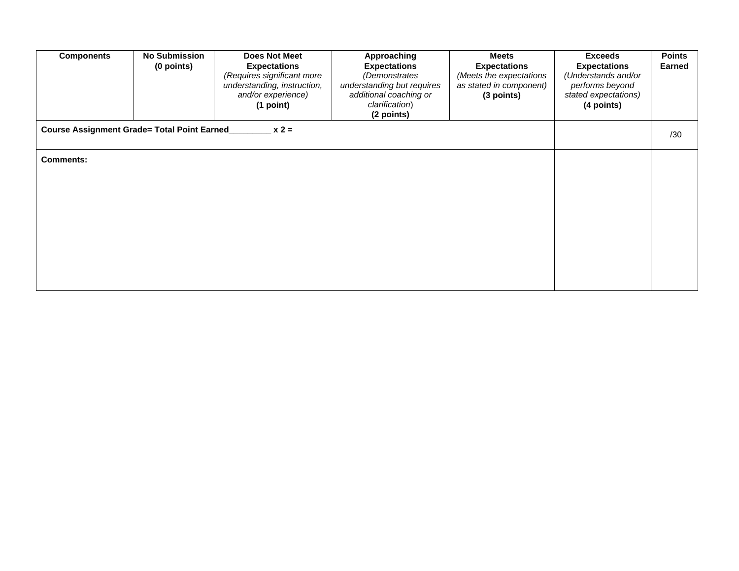| <b>Components</b>                            | <b>No Submission</b><br>(0 points) | <b>Does Not Meet</b><br><b>Expectations</b><br>(Requires significant more<br>understanding, instruction,<br>and/or experience)<br>(1 point) | Approaching<br><b>Expectations</b><br>(Demonstrates<br>understanding but requires<br>additional coaching or<br>clarification)<br>(2 points) | <b>Meets</b><br><b>Expectations</b><br>(Meets the expectations<br>as stated in component)<br>(3 points) | <b>Exceeds</b><br><b>Expectations</b><br>(Understands and/or<br>performs beyond<br>stated expectations)<br>(4 points) | <b>Points</b><br><b>Earned</b> |
|----------------------------------------------|------------------------------------|---------------------------------------------------------------------------------------------------------------------------------------------|---------------------------------------------------------------------------------------------------------------------------------------------|---------------------------------------------------------------------------------------------------------|-----------------------------------------------------------------------------------------------------------------------|--------------------------------|
| Course Assignment Grade= Total Point Earned_ |                                    | $x 2 =$                                                                                                                                     |                                                                                                                                             |                                                                                                         |                                                                                                                       | /30                            |
| <b>Comments:</b>                             |                                    |                                                                                                                                             |                                                                                                                                             |                                                                                                         |                                                                                                                       |                                |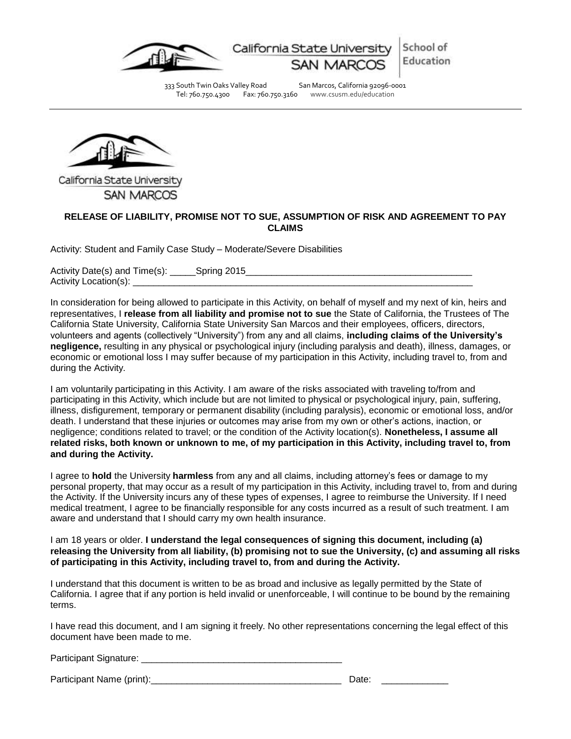

California State Universit

Education

School of

333 South Twin Oaks Valley Road San Marcos, California 92096-0001 Tel: 760.750.4300 Fax: 760.750.3160 www.csusm.edu/education



California State University **SAN MARCOS** 

# **RELEASE OF LIABILITY, PROMISE NOT TO SUE, ASSUMPTION OF RISK AND AGREEMENT TO PAY CLAIMS**

Activity: Student and Family Case Study – Moderate/Severe Disabilities

Activity Date(s) and Time(s): \_\_\_\_\_Spring 2015\_\_\_\_\_\_\_\_\_\_\_\_\_\_\_\_\_\_\_\_\_\_\_\_\_\_\_\_\_\_\_\_\_\_\_\_\_\_\_\_\_\_\_\_ Activity Location(s): \_\_\_\_\_\_\_\_\_\_\_\_\_\_\_\_\_\_\_\_\_\_\_\_\_\_\_\_\_\_\_\_\_\_\_\_\_\_\_\_\_\_\_\_\_\_\_\_\_\_\_\_\_\_\_\_\_\_\_\_\_\_\_\_\_\_

In consideration for being allowed to participate in this Activity, on behalf of myself and my next of kin, heirs and representatives, I **release from all liability and promise not to sue** the State of California, the Trustees of The California State University, California State University San Marcos and their employees, officers, directors, volunteers and agents (collectively "University") from any and all claims, **including claims of the University's negligence,** resulting in any physical or psychological injury (including paralysis and death), illness, damages, or economic or emotional loss I may suffer because of my participation in this Activity, including travel to, from and during the Activity.

I am voluntarily participating in this Activity. I am aware of the risks associated with traveling to/from and participating in this Activity, which include but are not limited to physical or psychological injury, pain, suffering, illness, disfigurement, temporary or permanent disability (including paralysis), economic or emotional loss, and/or death. I understand that these injuries or outcomes may arise from my own or other's actions, inaction, or negligence; conditions related to travel; or the condition of the Activity location(s). **Nonetheless, I assume all related risks, both known or unknown to me, of my participation in this Activity, including travel to, from and during the Activity.**

I agree to **hold** the University **harmless** from any and all claims, including attorney's fees or damage to my personal property, that may occur as a result of my participation in this Activity, including travel to, from and during the Activity. If the University incurs any of these types of expenses, I agree to reimburse the University. If I need medical treatment, I agree to be financially responsible for any costs incurred as a result of such treatment. I am aware and understand that I should carry my own health insurance.

I am 18 years or older. **I understand the legal consequences of signing this document, including (a) releasing the University from all liability, (b) promising not to sue the University, (c) and assuming all risks of participating in this Activity, including travel to, from and during the Activity.**

I understand that this document is written to be as broad and inclusive as legally permitted by the State of California. I agree that if any portion is held invalid or unenforceable, I will continue to be bound by the remaining terms.

I have read this document, and I am signing it freely. No other representations concerning the legal effect of this document have been made to me.

Participant Signature: **Example 2018** 

Participant Name (print):\_\_\_\_\_\_\_\_\_\_\_\_\_\_\_\_\_\_\_\_\_\_\_\_\_\_\_\_\_\_\_\_\_\_\_\_\_ Date: \_\_\_\_\_\_\_\_\_\_\_\_\_